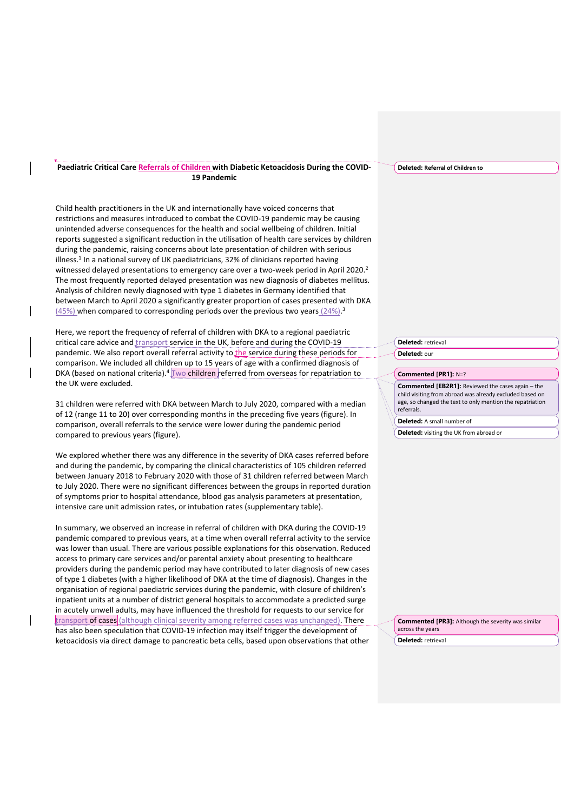## **Paediatric Critical Care Referrals of Children with Diabetic Ketoacidosis During the COVID-19 Pandemic**

Child health practitioners in the UK and internationally have voiced concerns that restrictions and measures introduced to combat the COVID-19 pandemic may be causing unintended adverse consequences for the health and social wellbeing of children. Initial reports suggested a significant reduction in the utilisation of health care services by children during the pandemic, raising concerns about late presentation of children with serious illness.<sup>1</sup> In a national survey of UK paediatricians, 32% of clinicians reported having witnessed delayed presentations to emergency care over a two-week period in April 2020.<sup>2</sup> The most frequently reported delayed presentation was new diagnosis of diabetes mellitus. Analysis of children newly diagnosed with type 1 diabetes in Germany identified that between March to April 2020 a significantly greater proportion of cases presented with DKA (45%) when compared to corresponding periods over the previous two years (24%).<sup>3</sup>

Here, we report the frequency of referral of children with DKA to a regional paediatric critical care advice and transport service in the UK, before and during the COVID-19 pandemic. We also report overall referral activity to the service during these periods for comparison. We included all children up to 15 years of age with a confirmed diagnosis of DKA (based on national criteria). $4\sqrt{w}$  children referred from overseas for repatriation to the UK were excluded.

31 children were referred with DKA between March to July 2020, compared with a median of 12 (range 11 to 20) over corresponding months in the preceding five years (figure). In comparison, overall referrals to the service were lower during the pandemic period compared to previous years (figure).

We explored whether there was any difference in the severity of DKA cases referred before and during the pandemic, by comparing the clinical characteristics of 105 children referred between January 2018 to February 2020 with those of 31 children referred between March to July 2020. There were no significant differences between the groups in reported duration of symptoms prior to hospital attendance, blood gas analysis parameters at presentation, intensive care unit admission rates, or intubation rates (supplementary table).

In summary, we observed an increase in referral of children with DKA during the COVID-19 pandemic compared to previous years, at a time when overall referral activity to the service was lower than usual. There are various possible explanations for this observation. Reduced access to primary care services and/or parental anxiety about presenting to healthcare providers during the pandemic period may have contributed to later diagnosis of new cases of type 1 diabetes (with a higher likelihood of DKA at the time of diagnosis). Changes in the organisation of regional paediatric services during the pandemic, with closure of children's inpatient units at a number of district general hospitals to accommodate a predicted surge in acutely unwell adults, may have influenced the threshold for requests to our service for transport of cases (although clinical severity among referred cases was unchanged). There has also been speculation that COVID-19 infection may itself trigger the development of ketoacidosis via direct damage to pancreatic beta cells, based upon observations that other

**Deleted: Referral of Children to** 

**Deleted:** retrieval **Deleted:** our

## **Commented [PR1]:** N=?

**Commented [EB2R1]:** Reviewed the cases again – the child visiting from abroad was already excluded based on age, so changed the text to only mention the repatriation referrals.

**Deleted:** A small number of

**Deleted:** visiting the UK from abroad or

**Commented [PR3]:** Although the severity was similar across the years

**Deleted:** retrieval